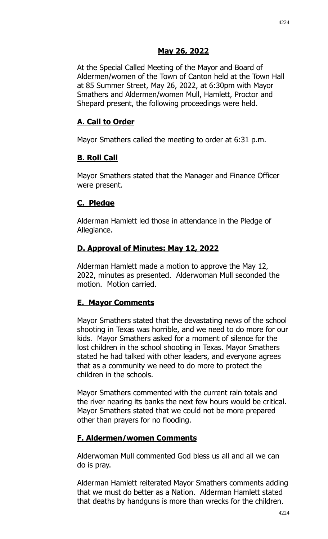## **May 26, 2022**

At the Special Called Meeting of the Mayor and Board of Aldermen/women of the Town of Canton held at the Town Hall at 85 Summer Street, May 26, 2022, at 6:30pm with Mayor Smathers and Aldermen/women Mull, Hamlett, Proctor and Shepard present, the following proceedings were held.

# **A. Call to Order**

Mayor Smathers called the meeting to order at 6:31 p.m.

## **B. Roll Call**

Mayor Smathers stated that the Manager and Finance Officer were present.

## **C. Pledge**

Alderman Hamlett led those in attendance in the Pledge of Allegiance.

## **D. Approval of Minutes: May 12, 2022**

Alderman Hamlett made a motion to approve the May 12, 2022, minutes as presented. Alderwoman Mull seconded the motion. Motion carried.

# **E. Mayor Comments**

Mayor Smathers stated that the devastating news of the school shooting in Texas was horrible, and we need to do more for our kids. Mayor Smathers asked for a moment of silence for the lost children in the school shooting in Texas. Mayor Smathers stated he had talked with other leaders, and everyone agrees that as a community we need to do more to protect the children in the schools.

Mayor Smathers commented with the current rain totals and the river nearing its banks the next few hours would be critical. Mayor Smathers stated that we could not be more prepared other than prayers for no flooding.

# **F. Aldermen/women Comments**

Alderwoman Mull commented God bless us all and all we can do is pray.

Alderman Hamlett reiterated Mayor Smathers comments adding that we must do better as a Nation. Alderman Hamlett stated that deaths by handguns is more than wrecks for the children.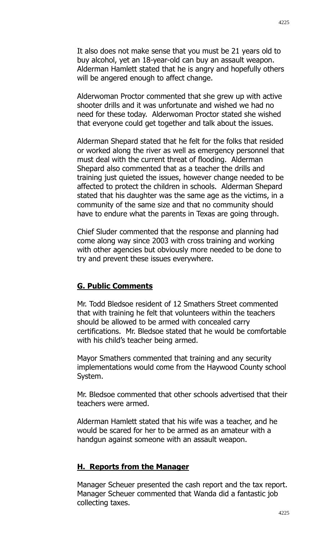It also does not make sense that you must be 21 years old to buy alcohol, yet an 18-year-old can buy an assault weapon. Alderman Hamlett stated that he is angry and hopefully others will be angered enough to affect change.

Alderwoman Proctor commented that she grew up with active shooter drills and it was unfortunate and wished we had no need for these today. Alderwoman Proctor stated she wished that everyone could get together and talk about the issues.

Alderman Shepard stated that he felt for the folks that resided or worked along the river as well as emergency personnel that must deal with the current threat of flooding. Alderman Shepard also commented that as a teacher the drills and training just quieted the issues, however change needed to be affected to protect the children in schools. Alderman Shepard stated that his daughter was the same age as the victims, in a community of the same size and that no community should have to endure what the parents in Texas are going through.

Chief Sluder commented that the response and planning had come along way since 2003 with cross training and working with other agencies but obviously more needed to be done to try and prevent these issues everywhere.

#### **G. Public Comments**

Mr. Todd Bledsoe resident of 12 Smathers Street commented that with training he felt that volunteers within the teachers should be allowed to be armed with concealed carry certifications. Mr. Bledsoe stated that he would be comfortable with his child's teacher being armed.

Mayor Smathers commented that training and any security implementations would come from the Haywood County school System.

Mr. Bledsoe commented that other schools advertised that their teachers were armed.

Alderman Hamlett stated that his wife was a teacher, and he would be scared for her to be armed as an amateur with a handgun against someone with an assault weapon.

#### **H. Reports from the Manager**

Manager Scheuer presented the cash report and the tax report. Manager Scheuer commented that Wanda did a fantastic job collecting taxes.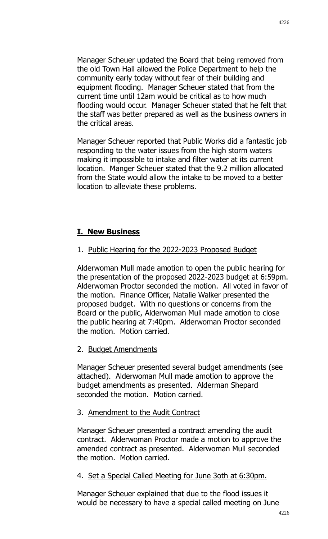Manager Scheuer updated the Board that being removed from the old Town Hall allowed the Police Department to help the community early today without fear of their building and equipment flooding. Manager Scheuer stated that from the current time until 12am would be critical as to how much flooding would occur. Manager Scheuer stated that he felt that the staff was better prepared as well as the business owners in the critical areas.

Manager Scheuer reported that Public Works did a fantastic job responding to the water issues from the high storm waters making it impossible to intake and filter water at its current location. Manger Scheuer stated that the 9.2 million allocated from the State would allow the intake to be moved to a better location to alleviate these problems.

### **I. New Business**

### 1. Public Hearing for the 2022-2023 Proposed Budget

Alderwoman Mull made amotion to open the public hearing for the presentation of the proposed 2022-2023 budget at 6:59pm. Alderwoman Proctor seconded the motion. All voted in favor of the motion. Finance Officer, Natalie Walker presented the proposed budget. With no questions or concerns from the Board or the public, Alderwoman Mull made amotion to close the public hearing at 7:40pm. Alderwoman Proctor seconded the motion. Motion carried.

### 2. Budget Amendments

Manager Scheuer presented several budget amendments (see attached). Alderwoman Mull made amotion to approve the budget amendments as presented. Alderman Shepard seconded the motion. Motion carried.

### 3. Amendment to the Audit Contract

Manager Scheuer presented a contract amending the audit contract. Alderwoman Proctor made a motion to approve the amended contract as presented. Alderwoman Mull seconded the motion. Motion carried.

#### 4. Set a Special Called Meeting for June 3oth at 6:30pm.

Manager Scheuer explained that due to the flood issues it would be necessary to have a special called meeting on June